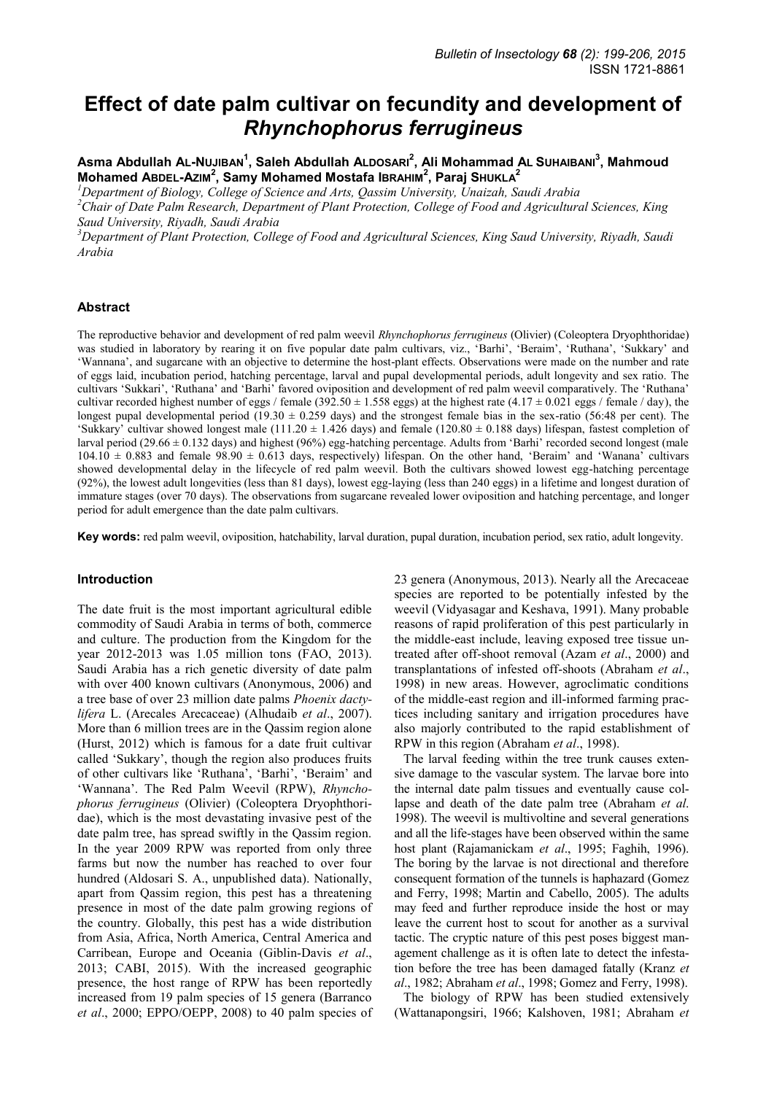# **Effect of date palm cultivar on fecundity and development of**  *Rhynchophorus ferrugineus*

**Asma Abdullah AL-NUJIBAN<sup>1</sup> , Saleh Abdullah ALDOSARI<sup>2</sup> , Ali Mohammad AL SUHAIBANI<sup>3</sup> , Mahmoud Mohamed ABDEL-AZIM<sup>2</sup> , Samy Mohamed Mostafa IBRAHIM<sup>2</sup> , Paraj SHUKLA<sup>2</sup>**

*<sup>1</sup>Department of Biology, College of Science and Arts, Qassim University, Unaizah, Saudi Arabia* 

*<sup>2</sup>Chair of Date Palm Research, Department of Plant Protection, College of Food and Agricultural Sciences, King Saud University, Riyadh, Saudi Arabia* 

*<sup>3</sup>Department of Plant Protection, College of Food and Agricultural Sciences, King Saud University, Riyadh, Saudi Arabia* 

## **Abstract**

The reproductive behavior and development of red palm weevil *Rhynchophorus ferrugineus* (Olivier) (Coleoptera Dryophthoridae) was studied in laboratory by rearing it on five popular date palm cultivars, viz., 'Barhi', 'Beraim', 'Ruthana', 'Sukkary' and "Wannana", and sugarcane with an objective to determine the host-plant effects. Observations were made on the number and rate of eggs laid, incubation period, hatching percentage, larval and pupal developmental periods, adult longevity and sex ratio. The cultivars "Sukkari", "Ruthana" and "Barhi" favored oviposition and development of red palm weevil comparatively. The "Ruthana" cultivar recorded highest number of eggs / female (392.50  $\pm$  1.558 eggs) at the highest rate (4.17  $\pm$  0.021 eggs / female / day), the longest pupal developmental period (19.30  $\pm$  0.259 days) and the strongest female bias in the sex-ratio (56:48 per cent). The 'Sukkary' cultivar showed longest male  $(111.20 \pm 1.426$  days) and female  $(120.80 \pm 0.188$  days) lifespan, fastest completion of larval period (29.66 ± 0.132 days) and highest (96%) egg-hatching percentage. Adults from 'Barhi' recorded second longest (male  $104.10 \pm 0.883$  and female  $98.90 \pm 0.613$  days, respectively) lifespan. On the other hand, 'Beraim' and 'Wanana' cultivars showed developmental delay in the lifecycle of red palm weevil. Both the cultivars showed lowest egg-hatching percentage (92%), the lowest adult longevities (less than 81 days), lowest egg-laying (less than 240 eggs) in a lifetime and longest duration of immature stages (over 70 days). The observations from sugarcane revealed lower oviposition and hatching percentage, and longer period for adult emergence than the date palm cultivars.

**Key words:** red palm weevil, oviposition, hatchability, larval duration, pupal duration, incubation period, sex ratio, adult longevity.

### **Introduction**

The date fruit is the most important agricultural edible commodity of Saudi Arabia in terms of both, commerce and culture. The production from the Kingdom for the year 2012-2013 was 1.05 million tons (FAO, 2013). Saudi Arabia has a rich genetic diversity of date palm with over 400 known cultivars (Anonymous, 2006) and a tree base of over 23 million date palms *Phoenix dactylifera* L. (Arecales Arecaceae) (Alhudaib *et al*., 2007). More than 6 million trees are in the Qassim region alone (Hurst, 2012) which is famous for a date fruit cultivar called "Sukkary", though the region also produces fruits of other cultivars like 'Ruthana', 'Barhi', 'Beraim' and 'Wannana'. The Red Palm Weevil (RPW), *Rhynchophorus ferrugineus* (Olivier) (Coleoptera Dryophthoridae), which is the most devastating invasive pest of the date palm tree, has spread swiftly in the Qassim region. In the year 2009 RPW was reported from only three farms but now the number has reached to over four hundred (Aldosari S. A., unpublished data). Nationally, apart from Qassim region, this pest has a threatening presence in most of the date palm growing regions of the country. Globally, this pest has a wide distribution from Asia, Africa, North America, Central America and Carribean, Europe and Oceania (Giblin-Davis *et al*., 2013; CABI, 2015). With the increased geographic presence, the host range of RPW has been reportedly increased from 19 palm species of 15 genera (Barranco *et al*., 2000; EPPO/OEPP, 2008) to 40 palm species of 23 genera (Anonymous, 2013). Nearly all the Arecaceae species are reported to be potentially infested by the weevil (Vidyasagar and Keshava, 1991). Many probable reasons of rapid proliferation of this pest particularly in the middle-east include, leaving exposed tree tissue untreated after off-shoot removal (Azam *et al*., 2000) and transplantations of infested off-shoots (Abraham *et al*., 1998) in new areas. However, agroclimatic conditions of the middle-east region and ill-informed farming practices including sanitary and irrigation procedures have also majorly contributed to the rapid establishment of RPW in this region (Abraham *et al*., 1998).

The larval feeding within the tree trunk causes extensive damage to the vascular system. The larvae bore into the internal date palm tissues and eventually cause collapse and death of the date palm tree (Abraham *et al*. 1998). The weevil is multivoltine and several generations and all the life-stages have been observed within the same host plant (Rajamanickam *et al*., 1995; Faghih, 1996). The boring by the larvae is not directional and therefore consequent formation of the tunnels is haphazard (Gomez and Ferry, 1998; Martin and Cabello, 2005). The adults may feed and further reproduce inside the host or may leave the current host to scout for another as a survival tactic. The cryptic nature of this pest poses biggest management challenge as it is often late to detect the infestation before the tree has been damaged fatally (Kranz *et al*., 1982; Abraham *et al*., 1998; Gomez and Ferry, 1998).

The biology of RPW has been studied extensively (Wattanapongsiri, 1966; Kalshoven, 1981; Abraham *et*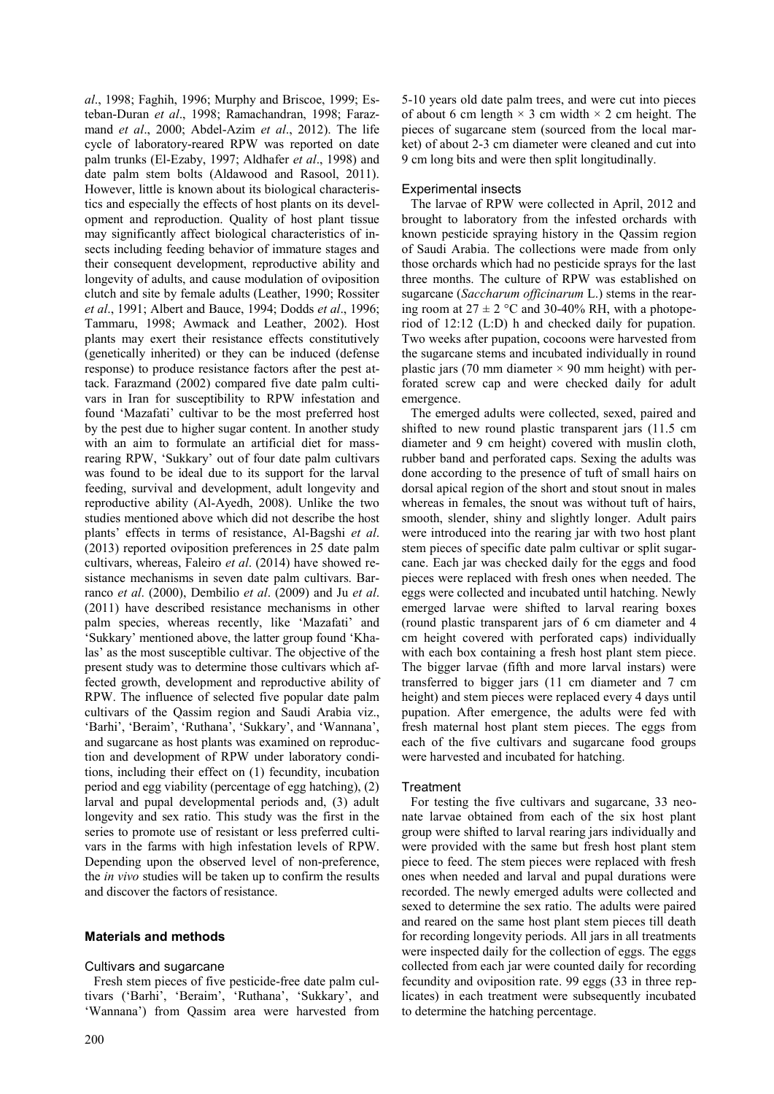*al*., 1998; Faghih, 1996; Murphy and Briscoe, 1999; Esteban-Duran *et al*., 1998; Ramachandran, 1998; Farazmand *et al*., 2000; Abdel-Azim *et al*., 2012). The life cycle of laboratory-reared RPW was reported on date palm trunks (El-Ezaby, 1997; Aldhafer *et al*., 1998) and date palm stem bolts (Aldawood and Rasool, 2011). However, little is known about its biological characteristics and especially the effects of host plants on its development and reproduction. Quality of host plant tissue may significantly affect biological characteristics of insects including feeding behavior of immature stages and their consequent development, reproductive ability and longevity of adults, and cause modulation of oviposition clutch and site by female adults (Leather, 1990; Rossiter *et al*., 1991; Albert and Bauce, 1994; Dodds *et al*., 1996; Tammaru, 1998; Awmack and Leather, 2002). Host plants may exert their resistance effects constitutively (genetically inherited) or they can be induced (defense response) to produce resistance factors after the pest attack. Farazmand (2002) compared five date palm cultivars in Iran for susceptibility to RPW infestation and found "Mazafati" cultivar to be the most preferred host by the pest due to higher sugar content. In another study with an aim to formulate an artificial diet for massrearing RPW, "Sukkary" out of four date palm cultivars was found to be ideal due to its support for the larval feeding, survival and development, adult longevity and reproductive ability (Al-Ayedh, 2008). Unlike the two studies mentioned above which did not describe the host plants" effects in terms of resistance, Al-Bagshi *et al*. (2013) reported oviposition preferences in 25 date palm cultivars, whereas, Faleiro *et al*. (2014) have showed resistance mechanisms in seven date palm cultivars. Barranco *et al*. (2000), Dembilio *et al*. (2009) and Ju *et al*. (2011) have described resistance mechanisms in other palm species, whereas recently, like 'Mazafati' and "Sukkary" mentioned above, the latter group found "Khalas" as the most susceptible cultivar. The objective of the present study was to determine those cultivars which affected growth, development and reproductive ability of RPW. The influence of selected five popular date palm cultivars of the Qassim region and Saudi Arabia viz., 'Barhi', 'Beraim', 'Ruthana', 'Sukkary', and 'Wannana', and sugarcane as host plants was examined on reproduction and development of RPW under laboratory conditions, including their effect on (1) fecundity, incubation period and egg viability (percentage of egg hatching), (2) larval and pupal developmental periods and, (3) adult longevity and sex ratio. This study was the first in the series to promote use of resistant or less preferred cultivars in the farms with high infestation levels of RPW. Depending upon the observed level of non-preference, the *in vivo* studies will be taken up to confirm the results and discover the factors of resistance.

# **Materials and methods**

### Cultivars and sugarcane

Fresh stem pieces of five pesticide-free date palm cultivars ('Barhi', 'Beraim', 'Ruthana', 'Sukkary', and 'Wannana') from Qassim area were harvested from

5-10 years old date palm trees, and were cut into pieces of about 6 cm length  $\times$  3 cm width  $\times$  2 cm height. The pieces of sugarcane stem (sourced from the local market) of about 2-3 cm diameter were cleaned and cut into 9 cm long bits and were then split longitudinally.

## Experimental insects

The larvae of RPW were collected in April, 2012 and brought to laboratory from the infested orchards with known pesticide spraying history in the Qassim region of Saudi Arabia. The collections were made from only those orchards which had no pesticide sprays for the last three months. The culture of RPW was established on sugarcane (*Saccharum officinarum* L.) stems in the rearing room at  $27 \pm 2$  °C and 30-40% RH, with a photoperiod of 12:12 (L:D) h and checked daily for pupation. Two weeks after pupation, cocoons were harvested from the sugarcane stems and incubated individually in round plastic jars (70 mm diameter  $\times$  90 mm height) with perforated screw cap and were checked daily for adult emergence.

The emerged adults were collected, sexed, paired and shifted to new round plastic transparent jars (11.5 cm diameter and 9 cm height) covered with muslin cloth, rubber band and perforated caps. Sexing the adults was done according to the presence of tuft of small hairs on dorsal apical region of the short and stout snout in males whereas in females, the snout was without tuft of hairs, smooth, slender, shiny and slightly longer. Adult pairs were introduced into the rearing jar with two host plant stem pieces of specific date palm cultivar or split sugarcane. Each jar was checked daily for the eggs and food pieces were replaced with fresh ones when needed. The eggs were collected and incubated until hatching. Newly emerged larvae were shifted to larval rearing boxes (round plastic transparent jars of 6 cm diameter and 4 cm height covered with perforated caps) individually with each box containing a fresh host plant stem piece. The bigger larvae (fifth and more larval instars) were transferred to bigger jars (11 cm diameter and 7 cm height) and stem pieces were replaced every 4 days until pupation. After emergence, the adults were fed with fresh maternal host plant stem pieces. The eggs from each of the five cultivars and sugarcane food groups were harvested and incubated for hatching.

### **Treatment**

For testing the five cultivars and sugarcane, 33 neonate larvae obtained from each of the six host plant group were shifted to larval rearing jars individually and were provided with the same but fresh host plant stem piece to feed. The stem pieces were replaced with fresh ones when needed and larval and pupal durations were recorded. The newly emerged adults were collected and sexed to determine the sex ratio. The adults were paired and reared on the same host plant stem pieces till death for recording longevity periods. All jars in all treatments were inspected daily for the collection of eggs. The eggs collected from each jar were counted daily for recording fecundity and oviposition rate. 99 eggs (33 in three replicates) in each treatment were subsequently incubated to determine the hatching percentage.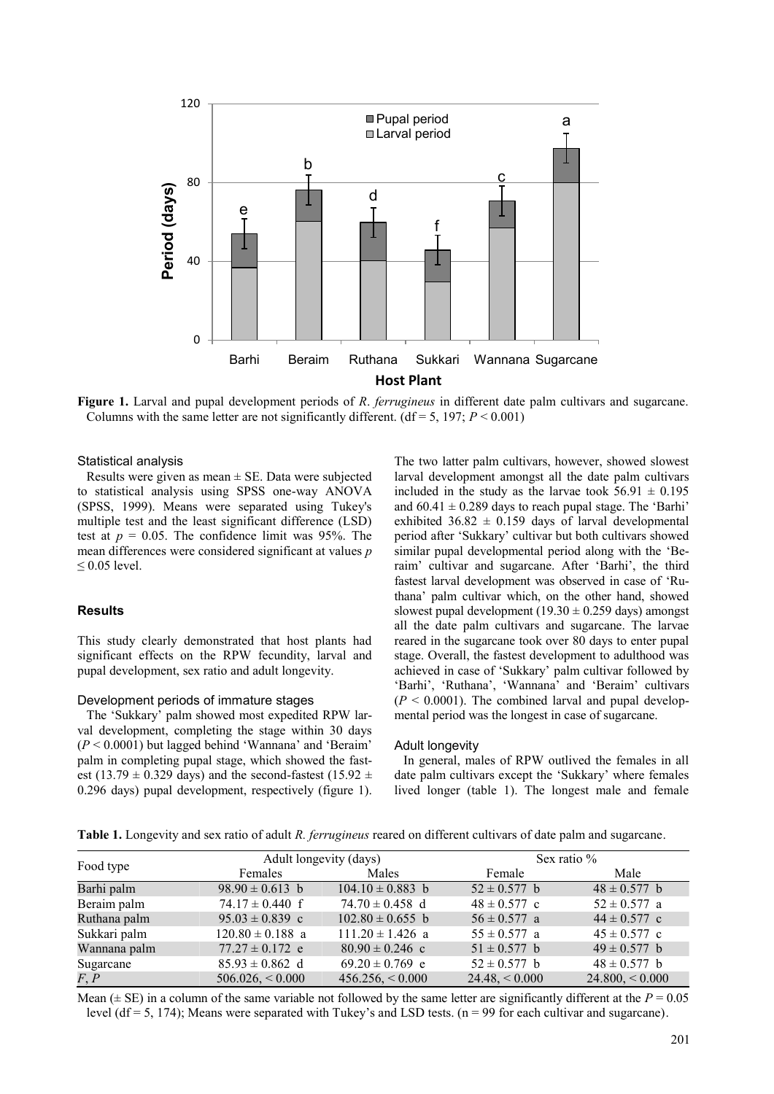

**Figure 1.** Larval and pupal development periods of *R*. *ferrugineus* in different date palm cultivars and sugarcane. Columns with the same letter are not significantly different. ( $df = 5$ , 197;  $P < 0.001$ )

## Statistical analysis

Results were given as mean  $\pm$  SE. Data were subjected to statistical analysis using SPSS one-way ANOVA (SPSS, 1999). Means were separated using Tukey's multiple test and the least significant difference (LSD) test at  $p = 0.05$ . The confidence limit was 95%. The mean differences were considered significant at values *p*  $\leq 0.05$  level.

#### **Results**

This study clearly demonstrated that host plants had significant effects on the RPW fecundity, larval and pupal development, sex ratio and adult longevity.

#### Development periods of immature stages

The "Sukkary" palm showed most expedited RPW larval development, completing the stage within 30 days (*P* < 0.0001) but lagged behind "Wannana" and "Beraim" palm in completing pupal stage, which showed the fastest (13.79  $\pm$  0.329 days) and the second-fastest (15.92  $\pm$ 0.296 days) pupal development, respectively (figure 1). The two latter palm cultivars, however, showed slowest larval development amongst all the date palm cultivars included in the study as the larvae took  $56.91 \pm 0.195$ and  $60.41 \pm 0.289$  days to reach pupal stage. The 'Barhi' exhibited  $36.82 \pm 0.159$  days of larval developmental period after "Sukkary" cultivar but both cultivars showed similar pupal developmental period along with the "Beraim" cultivar and sugarcane. After "Barhi", the third fastest larval development was observed in case of "Ruthana" palm cultivar which, on the other hand, showed slowest pupal development (19.30  $\pm$  0.259 days) amongst all the date palm cultivars and sugarcane. The larvae reared in the sugarcane took over 80 days to enter pupal stage. Overall, the fastest development to adulthood was achieved in case of "Sukkary" palm cultivar followed by 'Barhi', 'Ruthana', 'Wannana' and 'Beraim' cultivars  $(P < 0.0001)$ . The combined larval and pupal developmental period was the longest in case of sugarcane.

#### Adult longevity

In general, males of RPW outlived the females in all date palm cultivars except the 'Sukkary' where females lived longer (table 1). The longest male and female

**Table 1.** Longevity and sex ratio of adult *R. ferrugineus* reared on different cultivars of date palm and sugarcane.

| Food type    | Adult longevity (days) |                      | Sex ratio $%$     |                    |
|--------------|------------------------|----------------------|-------------------|--------------------|
|              | Females                | Males                | Female            | Male               |
| Barhi palm   | $98.90 \pm 0.613$ b    | $104.10 \pm 0.883$ b | $52 \pm 0.577$ b  | $48 \pm 0.577$ b   |
| Beraim palm  | $74.17 \pm 0.440$ f    | $74.70 \pm 0.458$ d  | $48 \pm 0.577$ c  | $52 \pm 0.577$ a   |
| Ruthana palm | $95.03 \pm 0.839$ c    | $102.80 \pm 0.655$ b | $56 \pm 0.577$ a  | $44 \pm 0.577$ c   |
| Sukkari palm | $120.80 \pm 0.188$ a   | $111.20 \pm 1.426$ a | $55 \pm 0.577$ a  | $45 \pm 0.577$ c   |
| Wannana palm | $77.27 \pm 0.172$ e    | $80.90 \pm 0.246$ c  | $51 \pm 0.577$ b  | $49 \pm 0.577$ b   |
| Sugarcane    | $85.93 \pm 0.862$ d    | $69.20 \pm 0.769$ e  | $52 \pm 0.577$ b  | $48 \pm 0.577$ b   |
| F, P         | 506.026, < 0.000       | $456.256 \le 0.000$  | $24.48 \le 0.000$ | $24.800 \le 0.000$ |

Mean ( $\pm$  SE) in a column of the same variable not followed by the same letter are significantly different at the  $P = 0.05$ level (df = 5, 174); Means were separated with Tukey's and LSD tests.  $(n = 99$  for each cultivar and sugarcane).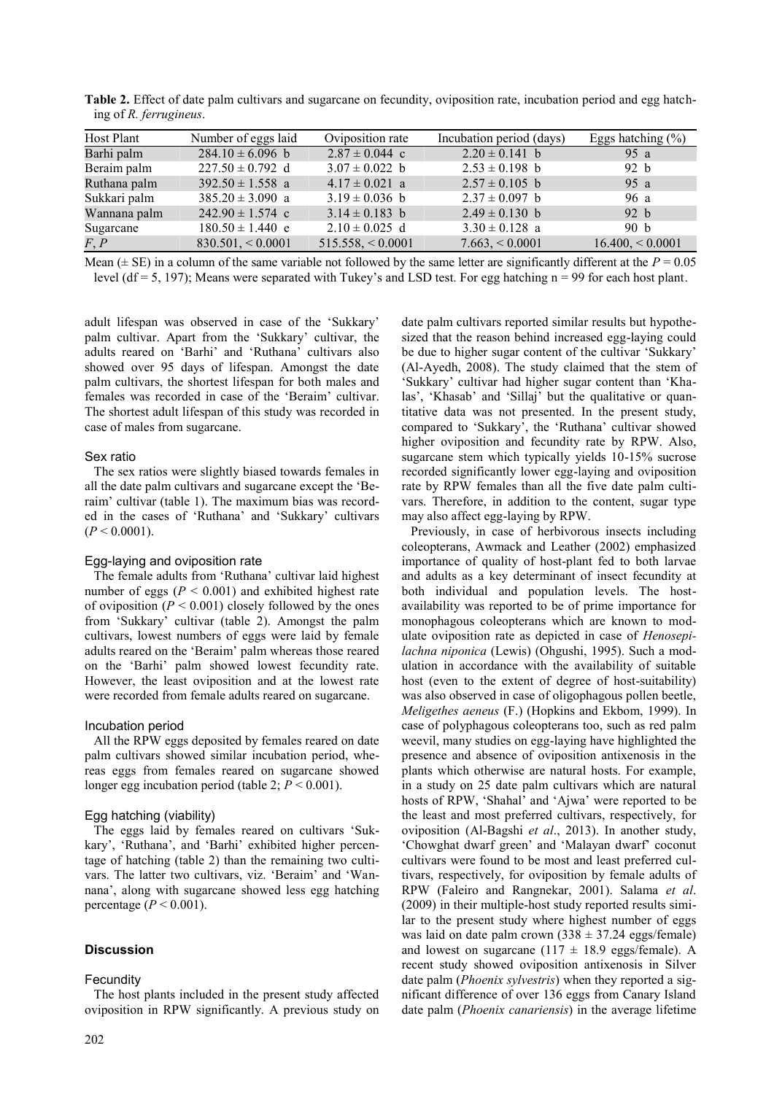| Host Plant   | Number of eggs laid  | Oviposition rate   | Incubation period (days) | Eggs hatching $(\% )$ |
|--------------|----------------------|--------------------|--------------------------|-----------------------|
| Barhi palm   | $284.10 \pm 6.096$ b | $2.87 \pm 0.044$ c | $2.20 \pm 0.141$ b       | 95 $a$                |
| Beraim palm  | $227.50 \pm 0.792$ d | $3.07 \pm 0.022$ b | $2.53 \pm 0.198$ b       | 92 b                  |
| Ruthana palm | $392.50 \pm 1.558$ a | $4.17 \pm 0.021$ a | $2.57 \pm 0.105$ b       | 95 a                  |
| Sukkari palm | $385.20 \pm 3.090$ a | $3.19 \pm 0.036$ b | $2.37 \pm 0.097$ b       | 96 a                  |
| Wannana palm | $242.90 \pm 1.574$ c | $3.14 \pm 0.183$ b | $2.49 \pm 0.130$ b       | 92 h                  |
| Sugarcane    | $180.50 \pm 1.440$ e | $2.10 \pm 0.025$ d | $3.30 \pm 0.128$ a       | 90 b                  |
| F, P         | 830.501, < 0.0001    | 515.558, < 0.0001  | $7.663 \div 0.0001$      | 16.400, < 0.0001      |

**Table 2.** Effect of date palm cultivars and sugarcane on fecundity, oviposition rate, incubation period and egg hatching of *R. ferrugineus*.

Mean ( $\pm$  SE) in a column of the same variable not followed by the same letter are significantly different at the  $P = 0.05$ level (df = 5, 197); Means were separated with Tukey's and LSD test. For egg hatching  $n = 99$  for each host plant.

adult lifespan was observed in case of the "Sukkary" palm cultivar. Apart from the 'Sukkary' cultivar, the adults reared on "Barhi" and "Ruthana" cultivars also showed over 95 days of lifespan. Amongst the date palm cultivars, the shortest lifespan for both males and females was recorded in case of the 'Beraim' cultivar. The shortest adult lifespan of this study was recorded in case of males from sugarcane.

## Sex ratio

The sex ratios were slightly biased towards females in all the date palm cultivars and sugarcane except the "Beraim" cultivar (table 1). The maximum bias was recorded in the cases of 'Ruthana' and 'Sukkary' cultivars  $(P < 0.0001)$ .

# Egg-laying and oviposition rate

The female adults from "Ruthana" cultivar laid highest number of eggs ( $P < 0.001$ ) and exhibited highest rate of oviposition  $(P < 0.001)$  closely followed by the ones from "Sukkary" cultivar (table 2). Amongst the palm cultivars, lowest numbers of eggs were laid by female adults reared on the "Beraim" palm whereas those reared on the "Barhi" palm showed lowest fecundity rate. However, the least oviposition and at the lowest rate were recorded from female adults reared on sugarcane.

# Incubation period

All the RPW eggs deposited by females reared on date palm cultivars showed similar incubation period, whereas eggs from females reared on sugarcane showed longer egg incubation period (table 2;  $P < 0.001$ ).

# Egg hatching (viability)

The eggs laid by females reared on cultivars "Sukkary', 'Ruthana', and 'Barhi' exhibited higher percentage of hatching (table 2) than the remaining two cultivars. The latter two cultivars, viz. "Beraim" and "Wannana", along with sugarcane showed less egg hatching percentage  $(P < 0.001)$ .

# **Discussion**

# **Fecundity**

The host plants included in the present study affected oviposition in RPW significantly. A previous study on date palm cultivars reported similar results but hypothesized that the reason behind increased egg-laying could be due to higher sugar content of the cultivar "Sukkary" (Al-Ayedh, 2008). The study claimed that the stem of "Sukkary" cultivar had higher sugar content than "Khalas', 'Khasab' and 'Sillaj' but the qualitative or quantitative data was not presented. In the present study, compared to "Sukkary", the "Ruthana" cultivar showed higher oviposition and fecundity rate by RPW. Also, sugarcane stem which typically yields 10-15% sucrose recorded significantly lower egg-laying and oviposition rate by RPW females than all the five date palm cultivars. Therefore, in addition to the content, sugar type may also affect egg-laying by RPW.

Previously, in case of herbivorous insects including coleopterans, Awmack and Leather (2002) emphasized importance of quality of host-plant fed to both larvae and adults as a key determinant of insect fecundity at both individual and population levels. The hostavailability was reported to be of prime importance for monophagous coleopterans which are known to modulate oviposition rate as depicted in case of *Henosepilachna niponica* (Lewis) (Ohgushi, 1995). Such a modulation in accordance with the availability of suitable host (even to the extent of degree of host-suitability) was also observed in case of oligophagous pollen beetle, *Meligethes aeneus* (F.) (Hopkins and Ekbom, 1999). In case of polyphagous coleopterans too, such as red palm weevil, many studies on egg-laying have highlighted the presence and absence of oviposition antixenosis in the plants which otherwise are natural hosts. For example, in a study on 25 date palm cultivars which are natural hosts of RPW, "Shahal" and "Ajwa" were reported to be the least and most preferred cultivars, respectively, for oviposition (Al-Bagshi *et al*., 2013). In another study, "Chowghat dwarf green" and "Malayan dwarf" coconut cultivars were found to be most and least preferred cultivars, respectively, for oviposition by female adults of RPW (Faleiro and Rangnekar, 2001). Salama *et al*. (2009) in their multiple-host study reported results similar to the present study where highest number of eggs was laid on date palm crown  $(338 \pm 37.24 \text{ eggs/female})$ and lowest on sugarcane  $(117 \pm 18.9 \text{ eggs/female})$ . A recent study showed oviposition antixenosis in Silver date palm (*Phoenix sylvestris*) when they reported a significant difference of over 136 eggs from Canary Island date palm (*Phoenix canariensis*) in the average lifetime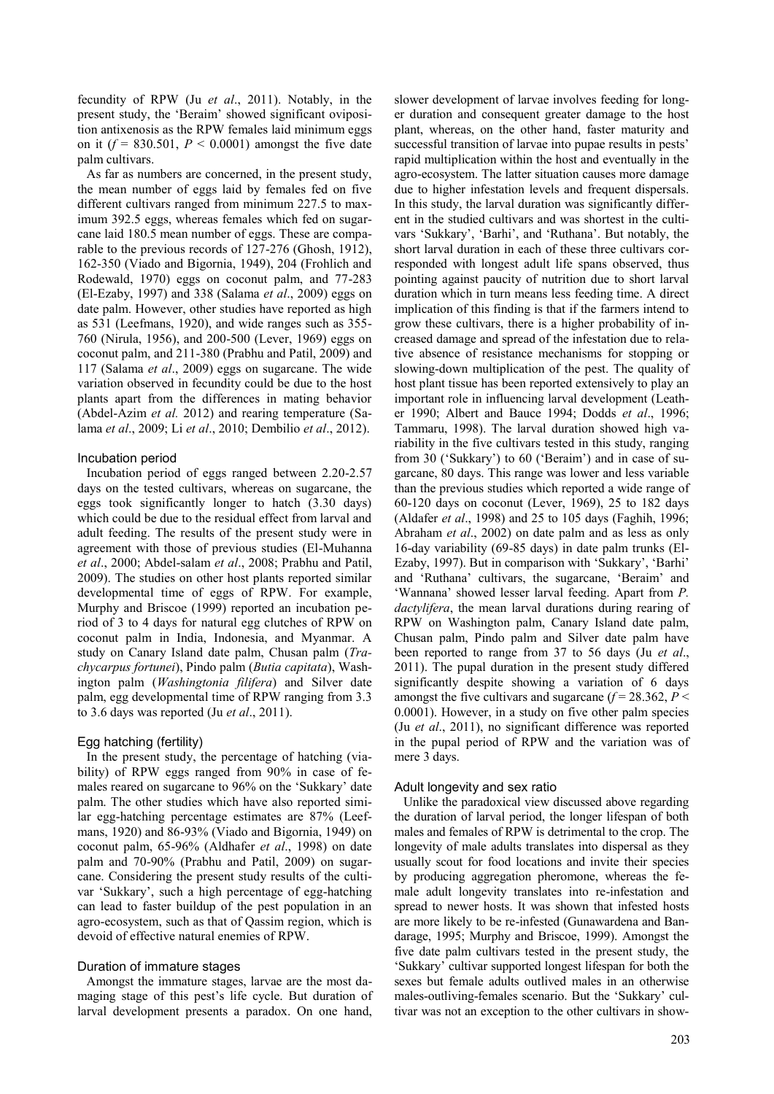fecundity of RPW (Ju *et al*., 2011). Notably, in the present study, the "Beraim" showed significant oviposition antixenosis as the RPW females laid minimum eggs on it  $(f = 830.501, P \le 0.0001)$  amongst the five date palm cultivars.

As far as numbers are concerned, in the present study, the mean number of eggs laid by females fed on five different cultivars ranged from minimum 227.5 to maximum 392.5 eggs, whereas females which fed on sugarcane laid 180.5 mean number of eggs. These are comparable to the previous records of 127-276 (Ghosh, 1912), 162-350 (Viado and Bigornia, 1949), 204 (Frohlich and Rodewald, 1970) eggs on coconut palm, and 77-283 (El-Ezaby, 1997) and 338 (Salama *et al*., 2009) eggs on date palm. However, other studies have reported as high as 531 (Leefmans, 1920), and wide ranges such as 355- 760 (Nirula, 1956), and 200-500 (Lever, 1969) eggs on coconut palm, and 211-380 (Prabhu and Patil, 2009) and 117 (Salama *et al*., 2009) eggs on sugarcane. The wide variation observed in fecundity could be due to the host plants apart from the differences in mating behavior (Abdel-Azim *et al.* 2012) and rearing temperature (Salama *et al*., 2009; Li *et al*., 2010; Dembilio *et al*., 2012).

#### Incubation period

Incubation period of eggs ranged between 2.20-2.57 days on the tested cultivars, whereas on sugarcane, the eggs took significantly longer to hatch (3.30 days) which could be due to the residual effect from larval and adult feeding. The results of the present study were in agreement with those of previous studies (El-Muhanna *et al*., 2000; Abdel-salam *et al*., 2008; Prabhu and Patil, 2009). The studies on other host plants reported similar developmental time of eggs of RPW. For example, Murphy and Briscoe (1999) reported an incubation period of 3 to 4 days for natural egg clutches of RPW on coconut palm in India, Indonesia, and Myanmar. A study on Canary Island date palm, Chusan palm (*Trachycarpus fortunei*), Pindo palm (*Butia capitata*), Washington palm (*Washingtonia filifera*) and Silver date palm, egg developmental time of RPW ranging from 3.3 to 3.6 days was reported (Ju *et al*., 2011).

### Egg hatching (fertility)

In the present study, the percentage of hatching (viability) of RPW eggs ranged from 90% in case of females reared on sugarcane to 96% on the "Sukkary" date palm. The other studies which have also reported similar egg-hatching percentage estimates are 87% (Leefmans, 1920) and 86-93% (Viado and Bigornia, 1949) on coconut palm, 65-96% (Aldhafer *et al*., 1998) on date palm and 70-90% (Prabhu and Patil, 2009) on sugarcane. Considering the present study results of the cultivar "Sukkary", such a high percentage of egg-hatching can lead to faster buildup of the pest population in an agro-ecosystem, such as that of Qassim region, which is devoid of effective natural enemies of RPW.

#### Duration of immature stages

Amongst the immature stages, larvae are the most damaging stage of this pest's life cycle. But duration of larval development presents a paradox. On one hand,

slower development of larvae involves feeding for longer duration and consequent greater damage to the host plant, whereas, on the other hand, faster maturity and successful transition of larvae into pupae results in pests' rapid multiplication within the host and eventually in the agro-ecosystem. The latter situation causes more damage due to higher infestation levels and frequent dispersals. In this study, the larval duration was significantly different in the studied cultivars and was shortest in the cultivars "Sukkary", "Barhi", and "Ruthana". But notably, the short larval duration in each of these three cultivars corresponded with longest adult life spans observed, thus pointing against paucity of nutrition due to short larval duration which in turn means less feeding time. A direct implication of this finding is that if the farmers intend to grow these cultivars, there is a higher probability of increased damage and spread of the infestation due to relative absence of resistance mechanisms for stopping or slowing-down multiplication of the pest. The quality of host plant tissue has been reported extensively to play an important role in influencing larval development (Leather 1990; Albert and Bauce 1994; Dodds *et al*., 1996; Tammaru, 1998). The larval duration showed high variability in the five cultivars tested in this study, ranging from 30 ('Sukkary') to 60 ('Beraim') and in case of sugarcane, 80 days. This range was lower and less variable than the previous studies which reported a wide range of 60-120 days on coconut (Lever, 1969), 25 to 182 days (Aldafer *et al*., 1998) and 25 to 105 days (Faghih, 1996; Abraham *et al*., 2002) on date palm and as less as only 16-day variability (69-85 days) in date palm trunks (El-Ezaby, 1997). But in comparison with 'Sukkary', 'Barhi' and "Ruthana" cultivars, the sugarcane, "Beraim" and "Wannana" showed lesser larval feeding. Apart from *P. dactylifera*, the mean larval durations during rearing of RPW on Washington palm, Canary Island date palm, Chusan palm, Pindo palm and Silver date palm have been reported to range from 37 to 56 days (Ju *et al*., 2011). The pupal duration in the present study differed significantly despite showing a variation of 6 days amongst the five cultivars and sugarcane  $(f = 28.362, P <$ 0.0001). However, in a study on five other palm species (Ju *et al*., 2011), no significant difference was reported in the pupal period of RPW and the variation was of mere 3 days.

## Adult longevity and sex ratio

Unlike the paradoxical view discussed above regarding the duration of larval period, the longer lifespan of both males and females of RPW is detrimental to the crop. The longevity of male adults translates into dispersal as they usually scout for food locations and invite their species by producing aggregation pheromone, whereas the female adult longevity translates into re-infestation and spread to newer hosts. It was shown that infested hosts are more likely to be re-infested (Gunawardena and Bandarage, 1995; Murphy and Briscoe, 1999). Amongst the five date palm cultivars tested in the present study, the "Sukkary" cultivar supported longest lifespan for both the sexes but female adults outlived males in an otherwise males-outliving-females scenario. But the 'Sukkary' cultivar was not an exception to the other cultivars in show-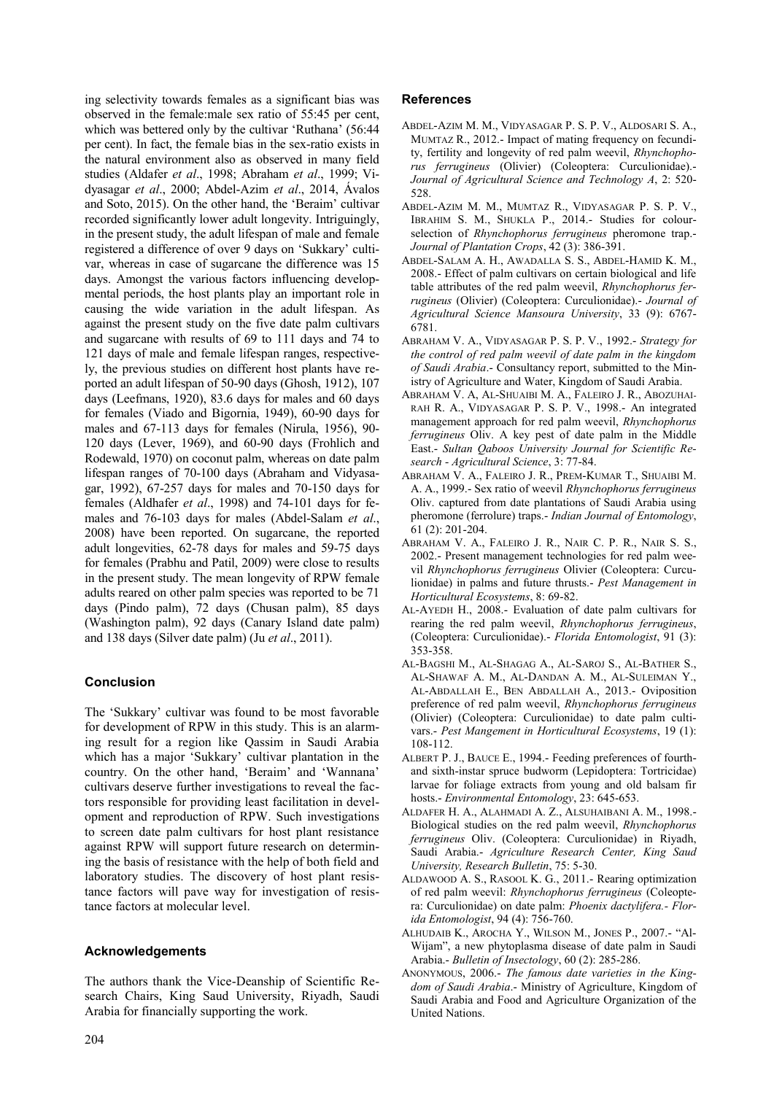ing selectivity towards females as a significant bias was observed in the female:male sex ratio of 55:45 per cent, which was bettered only by the cultivar 'Ruthana' (56:44) per cent). In fact, the female bias in the sex-ratio exists in the natural environment also as observed in many field studies (Aldafer *et al*., 1998; Abraham *et al*., 1999; Vidyasagar *et al*., 2000; Abdel-Azim *et al*., 2014, Ávalos and Soto, 2015). On the other hand, the "Beraim" cultivar recorded significantly lower adult longevity. Intriguingly, in the present study, the adult lifespan of male and female registered a difference of over 9 days on 'Sukkary' cultivar, whereas in case of sugarcane the difference was 15 days. Amongst the various factors influencing developmental periods, the host plants play an important role in causing the wide variation in the adult lifespan. As against the present study on the five date palm cultivars and sugarcane with results of 69 to 111 days and 74 to 121 days of male and female lifespan ranges, respectively, the previous studies on different host plants have reported an adult lifespan of 50-90 days (Ghosh, 1912), 107 days (Leefmans, 1920), 83.6 days for males and 60 days for females (Viado and Bigornia, 1949), 60-90 days for males and 67-113 days for females (Nirula, 1956), 90- 120 days (Lever, 1969), and 60-90 days (Frohlich and Rodewald, 1970) on coconut palm, whereas on date palm lifespan ranges of 70-100 days (Abraham and Vidyasagar, 1992), 67-257 days for males and 70-150 days for females (Aldhafer *et al*., 1998) and 74-101 days for females and 76-103 days for males (Abdel-Salam *et al*., 2008) have been reported. On sugarcane, the reported adult longevities, 62-78 days for males and 59-75 days for females (Prabhu and Patil, 2009) were close to results in the present study. The mean longevity of RPW female adults reared on other palm species was reported to be 71 days (Pindo palm), 72 days (Chusan palm), 85 days (Washington palm), 92 days (Canary Island date palm) and 138 days (Silver date palm) (Ju *et al*., 2011).

# **Conclusion**

The "Sukkary" cultivar was found to be most favorable for development of RPW in this study. This is an alarming result for a region like Qassim in Saudi Arabia which has a major 'Sukkary' cultivar plantation in the country. On the other hand, 'Beraim' and 'Wannana' cultivars deserve further investigations to reveal the factors responsible for providing least facilitation in development and reproduction of RPW. Such investigations to screen date palm cultivars for host plant resistance against RPW will support future research on determining the basis of resistance with the help of both field and laboratory studies. The discovery of host plant resistance factors will pave way for investigation of resistance factors at molecular level.

# **Acknowledgements**

The authors thank the Vice-Deanship of Scientific Research Chairs, King Saud University, Riyadh, Saudi Arabia for financially supporting the work.

# **References**

- ABDEL-AZIM M. M., VIDYASAGAR P. S. P. V., ALDOSARI S. A., MUMTAZ R., 2012.- Impact of mating frequency on fecundity, fertility and longevity of red palm weevil, *Rhynchophorus ferrugineus* (Olivier) (Coleoptera: Curculionidae).- *Journal of Agricultural Science and Technology A*, 2: 520- 528.
- ABDEL-AZIM M. M., MUMTAZ R., VIDYASAGAR P. S. P. V., IBRAHIM S. M., SHUKLA P., 2014.- Studies for colourselection of *Rhynchophorus ferrugineus* pheromone trap.- *Journal of Plantation Crops*, 42 (3): 386-391.
- ABDEL-SALAM A. H., AWADALLA S. S., ABDEL-HAMID K. M., 2008.- Effect of palm cultivars on certain biological and life table attributes of the red palm weevil, *Rhynchophorus ferrugineus* (Olivier) (Coleoptera: Curculionidae).- *Journal of Agricultural Science Mansoura University*, 33 (9): 6767- 6781.
- ABRAHAM V. A., VIDYASAGAR P. S. P. V., 1992.- *Strategy for the control of red palm weevil of date palm in the kingdom of Saudi Arabia*.- Consultancy report, submitted to the Ministry of Agriculture and Water, Kingdom of Saudi Arabia.
- ABRAHAM V. A, AL-SHUAIBI M. A., FALEIRO J. R., ABOZUHAI-RAH R. A., VIDYASAGAR P. S. P. V., 1998.- An integrated management approach for red palm weevil, *Rhynchophorus ferrugineus* Oliv. A key pest of date palm in the Middle East.- *Sultan Qaboos University Journal for Scientific Research - Agricultural Science*, 3: 77-84.
- ABRAHAM V. A., FALEIRO J. R., PREM-KUMAR T., SHUAIBI M. A. A., 1999.- Sex ratio of weevil *Rhynchophorus ferrugineus* Oliv. captured from date plantations of Saudi Arabia using pheromone (ferrolure) traps.- *Indian Journal of Entomology*, 61 (2): 201-204.
- ABRAHAM V. A., FALEIRO J. R., NAIR C. P. R., NAIR S. S., 2002.- Present management technologies for red palm weevil *Rhynchophorus ferrugineus* Olivier (Coleoptera: Curculionidae) in palms and future thrusts.- *Pest Management in Horticultural Ecosystems*, 8: 69-82.
- AL-AYEDH H., 2008.- Evaluation of date palm cultivars for rearing the red palm weevil, *Rhynchophorus ferrugineus*, (Coleoptera: Curculionidae).- *Florida Entomologist*, 91 (3): 353-358.
- AL-BAGSHI M., AL-SHAGAG A., AL-SAROJ S., AL-BATHER S., AL-SHAWAF A. M., AL-DANDAN A. M., AL-SULEIMAN Y., AL-ABDALLAH E., BEN ABDALLAH A., 2013.- Oviposition preference of red palm weevil, *Rhynchophorus ferrugineus* (Olivier) (Coleoptera: Curculionidae) to date palm cultivars.- *Pest Mangement in Horticultural Ecosystems*, 19 (1): 108-112.
- ALBERT P. J., BAUCE E., 1994.- Feeding preferences of fourthand sixth-instar spruce budworm (Lepidoptera: Tortricidae) larvae for foliage extracts from young and old balsam fir hosts.- *Environmental Entomology*, 23: 645-653.
- ALDAFER H. A., ALAHMADI A. Z., ALSUHAIBANI A. M., 1998.- Biological studies on the red palm weevil, *Rhynchophorus ferrugineus* Oliv. (Coleoptera: Curculionidae) in Riyadh, Saudi Arabia.- *Agriculture Research Center, King Saud University, Research Bulletin*, 75: 5-30.
- ALDAWOOD A. S., RASOOL K. G., 2011.- Rearing optimization of red palm weevil: *Rhynchophorus ferrugineus* (Coleoptera: Curculionidae) on date palm: *Phoenix dactylifera.- Florida Entomologist*, 94 (4): 756-760.
- ALHUDAIB K., AROCHA Y., WILSON M., JONES P., 2007.- "Al-Wijam", a new phytoplasma disease of date palm in Saudi Arabia.- *Bulletin of Insectology*, 60 (2): 285-286.
- ANONYMOUS, 2006.- *The famous date varieties in the Kingdom of Saudi Arabia*.- Ministry of Agriculture, Kingdom of Saudi Arabia and Food and Agriculture Organization of the United Nations.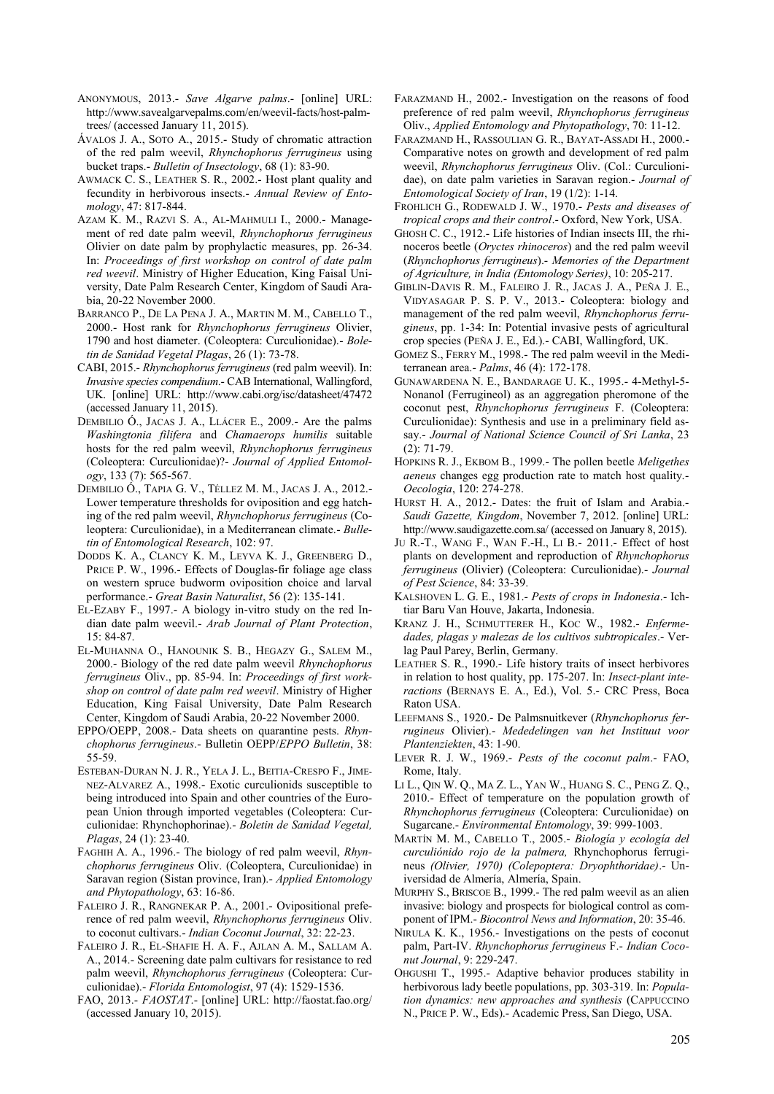- ANONYMOUS, 2013.- *Save Algarve palms*.- [online] URL: http://www.savealgarvepalms.com/en/weevil-facts/host-palmtrees/ (accessed January 11, 2015).
- ÁVALOS J. A., SOTO A., 2015.- Study of chromatic attraction of the red palm weevil, *Rhynchophorus ferrugineus* using bucket traps.- *Bulletin of Insectology*, 68 (1): 83-90.
- AWMACK C. S., LEATHER S. R., 2002.- Host plant quality and fecundity in herbivorous insects.- *Annual Review of Entomology*, 47: 817-844.
- AZAM K. M., RAZVI S. A., AL-MAHMULI I., 2000.- Management of red date palm weevil, *Rhynchophorus ferrugineus* Olivier on date palm by prophylactic measures, pp. 26-34. In: *Proceedings of first workshop on control of date palm red weevil*. Ministry of Higher Education, King Faisal University, Date Palm Research Center, Kingdom of Saudi Arabia, 20-22 November 2000.
- BARRANCO P., DE LA PENA J. A., MARTIN M. M., CABELLO T., 2000.- Host rank for *Rhynchophorus ferrugineus* Olivier, 1790 and host diameter. (Coleoptera: Curculionidae).- *Boletin de Sanidad Vegetal Plagas*, 26 (1): 73-78.
- CABI, 2015.- *Rhynchophorus ferrugineus* (red palm weevil). In: *Invasive species compendium*.- CAB International, Wallingford, UK. [online] URL: http://www.cabi.org/isc/datasheet/47472 (accessed January 11, 2015).
- DEMBILIO Ó., JACAS J. A., LLÁCER E., 2009.- Are the palms *Washingtonia filifera* and *Chamaerops humilis* suitable hosts for the red palm weevil, *Rhynchophorus ferrugineus* (Coleoptera: Curculionidae)?- *Journal of Applied Entomology*, 133 (7): 565-567.
- DEMBILIO Ó., TAPIA G. V., TÉLLEZ M. M., JACAS J. A., 2012.- Lower temperature thresholds for oviposition and egg hatching of the red palm weevil, *Rhynchophorus ferrugineus* (Coleoptera: Curculionidae), in a Mediterranean climate.- *Bulletin of Entomological Research*, 102: 97.
- DODDS K. A., CLANCY K. M., LEYVA K. J., GREENBERG D., PRICE P. W., 1996.- Effects of Douglas-fir foliage age class on western spruce budworm oviposition choice and larval performance.- *Great Basin Naturalist*, 56 (2): 135-141.
- EL-EZABY F., 1997.- A biology in-vitro study on the red Indian date palm weevil.- *Arab Journal of Plant Protection*, 15: 84-87.
- EL-MUHANNA O., HANOUNIK S. B., HEGAZY G., SALEM M., 2000.- Biology of the red date palm weevil *Rhynchophorus ferrugineus* Oliv., pp. 85-94. In: *Proceedings of first workshop on control of date palm red weevil*. Ministry of Higher Education, King Faisal University, Date Palm Research Center, Kingdom of Saudi Arabia, 20-22 November 2000.
- EPPO/OEPP, 2008.- Data sheets on quarantine pests. *Rhynchophorus ferrugineus*.- Bulletin OEPP/*EPPO Bulletin*, 38: 55-59.
- ESTEBAN-DURAN N. J. R., YELA J. L., BEITIA-CRESPO F., JIME-NEZ-ALVAREZ A., 1998.- Exotic curculionids susceptible to being introduced into Spain and other countries of the European Union through imported vegetables (Coleoptera: Curculionidae: Rhynchophorinae).- *Boletin de Sanidad Vegetal, Plagas*, 24 (1): 23-40.
- FAGHIH A. A., 1996.- The biology of red palm weevil, *Rhynchophorus ferrugineus* Oliv. (Coleoptera, Curculionidae) in Saravan region (Sistan province, Iran).- *Applied Entomology and Phytopathology*, 63: 16-86.
- FALEIRO J. R., RANGNEKAR P. A., 2001.- Ovipositional preference of red palm weevil, *Rhynchophorus ferrugineus* Oliv. to coconut cultivars.- *Indian Coconut Journal*, 32: 22-23.
- FALEIRO J. R., EL-SHAFIE H. A. F., AJLAN A. M., SALLAM A. A., 2014.- Screening date palm cultivars for resistance to red palm weevil, *Rhynchophorus ferrugineus* (Coleoptera: Curculionidae).- *Florida Entomologist*, 97 (4): 1529-1536.
- FAO, 2013.- *FAOSTAT*.- [online] URL: http://faostat.fao.org/ (accessed January 10, 2015).
- FARAZMAND H., 2002.- Investigation on the reasons of food preference of red palm weevil, *Rhynchophorus ferrugineus* Oliv., *Applied Entomology and Phytopathology*, 70: 11-12.
- FARAZMAND H., RASSOULIAN G. R., BAYAT-ASSADI H., 2000.- Comparative notes on growth and development of red palm weevil, *Rhynchophorus ferrugineus* Oliv. (Col.: Curculionidae), on date palm varieties in Saravan region.- *Journal of Entomological Society of Iran*, 19 (1/2): 1-14.
- FROHLICH G., RODEWALD J. W., 1970.- *Pests and diseases of tropical crops and their control*.- Oxford, New York, USA.
- GHOSH C. C., 1912.- Life histories of Indian insects III, the rhinoceros beetle (*Oryctes rhinoceros*) and the red palm weevil (*Rhynchophorus ferrugineus*).- *Memories of the Department of Agriculture, in India (Entomology Series)*, 10: 205-217.
- GIBLIN-DAVIS R. M., FALEIRO J. R., JACAS J. A., PEÑA J. E., VIDYASAGAR P. S. P. V., 2013.- Coleoptera: biology and management of the red palm weevil, *Rhynchophorus ferrugineus*, pp. 1-34: In: Potential invasive pests of agricultural crop species (PEÑA J. E., Ed.).- CABI, Wallingford, UK.
- GOMEZ S., FERRY M., 1998.- The red palm weevil in the Mediterranean area.- *Palms*, 46 (4): 172-178.
- GUNAWARDENA N. E., BANDARAGE U. K., 1995.- 4-Methyl-5- Nonanol (Ferrugineol) as an aggregation pheromone of the coconut pest, *Rhynchophorus ferrugineus* F. (Coleoptera: Curculionidae): Synthesis and use in a preliminary field assay.- *Journal of National Science Council of Sri Lanka*, 23 (2): 71-79.
- HOPKINS R. J., EKBOM B., 1999.- The pollen beetle *Meligethes aeneus* changes egg production rate to match host quality.- *Oecologia*, 120: 274-278.
- HURST H. A., 2012.- Dates: the fruit of Islam and Arabia.- *Saudi Gazette, Kingdom*, November 7, 2012. [online] URL: http://www.saudigazette.com.sa/ (accessed on January 8, 2015).
- JU R.-T., WANG F., WAN F.-H., LI B.- 2011.- Effect of host plants on development and reproduction of *Rhynchophorus ferrugineus* (Olivier) (Coleoptera: Curculionidae).- *Journal of Pest Science*, 84: 33-39.
- KALSHOVEN L. G. E., 1981.- *Pests of crops in Indonesia*.- Ichtiar Baru Van Houve, Jakarta, Indonesia.
- KRANZ J. H., SCHMUTTERER H., KOC W., 1982.- *Enfermedades, plagas y malezas de los cultivos subtropicales*.- Verlag Paul Parey, Berlin, Germany.
- LEATHER S. R., 1990.- Life history traits of insect herbivores in relation to host quality, pp. 175-207. In: *Insect-plant interactions* (BERNAYS E. A., Ed.), Vol. 5.- CRC Press, Boca Raton USA.
- LEEFMANS S., 1920.- De Palmsnuitkever (*Rhynchophorus ferrugineus* Olivier).- *Mededelingen van het Instituut voor Plantenziekten*, 43: 1-90.
- LEVER R. J. W., 1969.- *Pests of the coconut palm*.- FAO, Rome, Italy.
- LI L., QIN W. Q., MA Z. L., YAN W., HUANG S. C., PENG Z. Q., 2010.- Effect of temperature on the population growth of *Rhynchophorus ferrugineus* (Coleoptera: Curculionidae) on Sugarcane.- *Environmental Entomology*, 39: 999-1003.
- MARTÍN M. M., CABELLO T., 2005.- *Biología y ecología del curculiónido rojo de la palmera,* Rhynchophorus ferrugineus *(Olivier, 1970) (Colepoptera: Dryophthoridae)*.- Universidad de Almería, Almería, Spain.
- MURPHY S., BRISCOE B., 1999.- The red palm weevil as an alien invasive: biology and prospects for biological control as component of IPM.- *Biocontrol News and Information*, 20: 35-46.
- NIRULA K. K., 1956.- Investigations on the pests of coconut palm, Part-IV. *Rhynchophorus ferrugineus* F.- *Indian Coconut Journal*, 9: 229-247.
- OHGUSHI T., 1995.- Adaptive behavior produces stability in herbivorous lady beetle populations, pp. 303-319. In: *Population dynamics: new approaches and synthesis* (CAPPUCCINO N., PRICE P. W., Eds).- Academic Press, San Diego, USA.